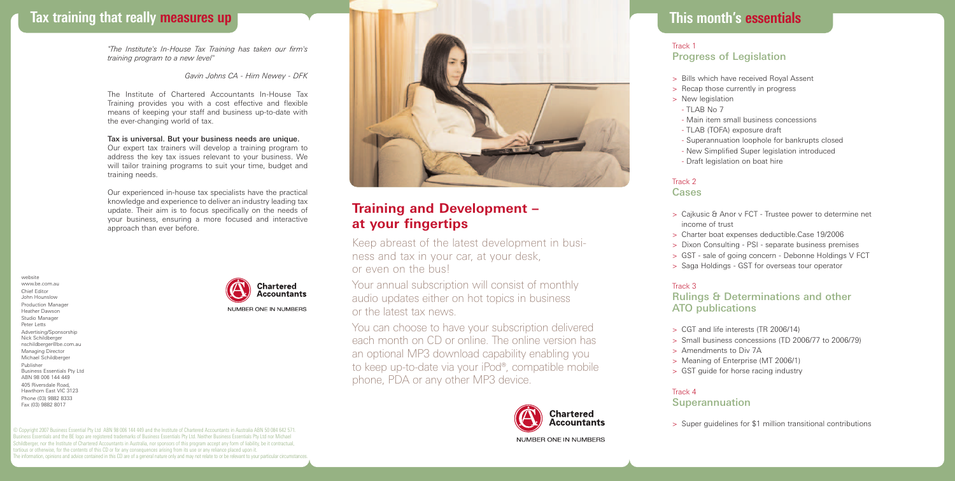# **Tax training that really measures up**

*"The Institute's In-House Tax Training has taken our firm's training program to a new level"*

#### *Gavin Johns CA - Hirn Newey - DFK*

The Institute of Chartered Accountants In-House Tax Training provides you with a cost effective and flexible means of keeping your staff and business up-to-date with the ever-changing world of tax.

## Tax is universal. But your business needs are unique.

Our expert tax trainers will develop a training program to address the key tax issues relevant to your business. We will tailor training programs to suit your time, budget and training needs.

Our experienced in-house tax specialists have the practical knowledge and experience to deliver an industry leading tax update. Their aim is to focus specifically on the needs of your business, ensuring a more focused and interactive approach than ever before.

website www.be.com.au Chief Editor John Hounslow Production Manager Heather Dawson Studio Manager Peter Letts Advertising/Sponsorship Nick Schildberger nschildberger@be.com.au Managing Director Michael Schildberger Publisher Business Essentials Pty Ltd ABN 98 006 144 449 405 Riversdale Road, Hawthorn East VIC 3123 Phone (03) 9882 8333 Fax (03) 9882 8017





## **Training and Development – at your fingertips**

Keep abreast of the latest development in business and tax in your car, at your desk, or even on the bus!

Your annual subscription will consist of monthly audio updates either on hot topics in business or the latest tax news.

You can choose to have your subscription delivered each month on CD or online. The online version has an optional MP3 download capability enabling you to keep up-to-date via your iPod®, compatible mobile phone, PDA or any other MP3 device.



## **This month's essentials**

## **This month's essentials** Track 1 Progress of Legislation

- > Bills which have received Royal Assent
- > Recap those currently in progress
- > New legislation
- $-$  TLAB No 7
- Main item small business concessions
- TLAB (TOFA) exposure draft
- Superannuation loophole for bankrupts closed
- New Simplified Super legislation introduced
- Draft legislation on boat hire

#### Track 2 Cases

- > Cajkusic & Anor v FCT Trustee power to determine net income of trust
- > Charter boat expenses deductible.Case 19/2006
- > Dixon Consulting PSI separate business premises
- > GST sale of going concern Debonne Holdings V FCT
- > Saga Holdings GST for overseas tour operator

#### Track 3

Rulings & Determinations and other ATO publications

- > CGT and life interests (TR 2006/14)
- > Small business concessions (TD 2006/77 to 2006/79)
- > Amendments to Div 7A
- > Meaning of Enterprise (MT 2006/1)
- > GST guide for horse racing industry

#### Track 4

Superannuation

> Super guidelines for \$1 million transitional contributions

© Copyright 2007 Business Essential Pty Ltd ABN 98 006 144 449 and the Institute of Chartered Accountants in Australia ABN 50 084 642 571. Business Essentials and the BE logo are registered trademarks of Business Essentials Pty Ltd. Neither Business Essentials Pty Ltd nor Michael Schildberger, nor the Institute of Chartered Accountants in Australia, nor sponsors of this program accept any form of liability, be it contractual, ortious or otherwise, for the contents of this CD or for any consequences arising from its use or any reliance placed upon it. The information, opinions and advice contained in this CD are of a general nature only and may not relate to or be relevant to your particular circumstances.